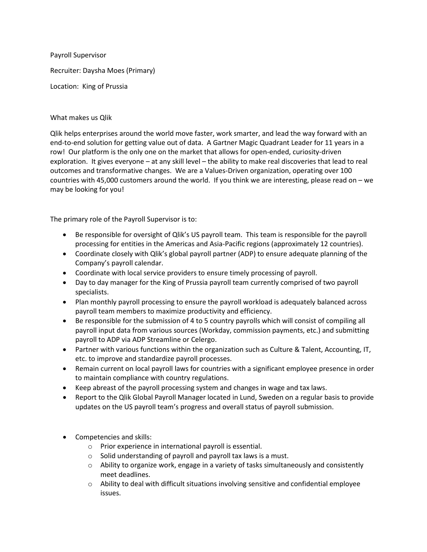Payroll Supervisor Recruiter: Daysha Moes (Primary) Location: King of Prussia

## What makes us Qlik

Qlik helps enterprises around the world move faster, work smarter, and lead the way forward with an end-to-end solution for getting value out of data. A Gartner Magic Quadrant Leader for 11 years in a row! Our platform is the only one on the market that allows for open-ended, curiosity-driven exploration. It gives everyone – at any skill level – the ability to make real discoveries that lead to real outcomes and transformative changes. We are a Values-Driven organization, operating over 100 countries with 45,000 customers around the world. If you think we are interesting, please read on – we may be looking for you!

The primary role of the Payroll Supervisor is to:

- Be responsible for oversight of Qlik's US payroll team. This team is responsible for the payroll processing for entities in the Americas and Asia-Pacific regions (approximately 12 countries).
- Coordinate closely with Qlik's global payroll partner (ADP) to ensure adequate planning of the Company's payroll calendar.
- Coordinate with local service providers to ensure timely processing of payroll.
- Day to day manager for the King of Prussia payroll team currently comprised of two payroll specialists.
- Plan monthly payroll processing to ensure the payroll workload is adequately balanced across payroll team members to maximize productivity and efficiency.
- Be responsible for the submission of 4 to 5 country payrolls which will consist of compiling all payroll input data from various sources (Workday, commission payments, etc.) and submitting payroll to ADP via ADP Streamline or Celergo.
- Partner with various functions within the organization such as Culture & Talent, Accounting, IT, etc. to improve and standardize payroll processes.
- Remain current on local payroll laws for countries with a significant employee presence in order to maintain compliance with country regulations.
- Keep abreast of the payroll processing system and changes in wage and tax laws.
- Report to the Qlik Global Payroll Manager located in Lund, Sweden on a regular basis to provide updates on the US payroll team's progress and overall status of payroll submission.
- Competencies and skills:
	- o Prior experience in international payroll is essential.
	- o Solid understanding of payroll and payroll tax laws is a must.
	- o Ability to organize work, engage in a variety of tasks simultaneously and consistently meet deadlines.
	- $\circ$  Ability to deal with difficult situations involving sensitive and confidential employee issues.